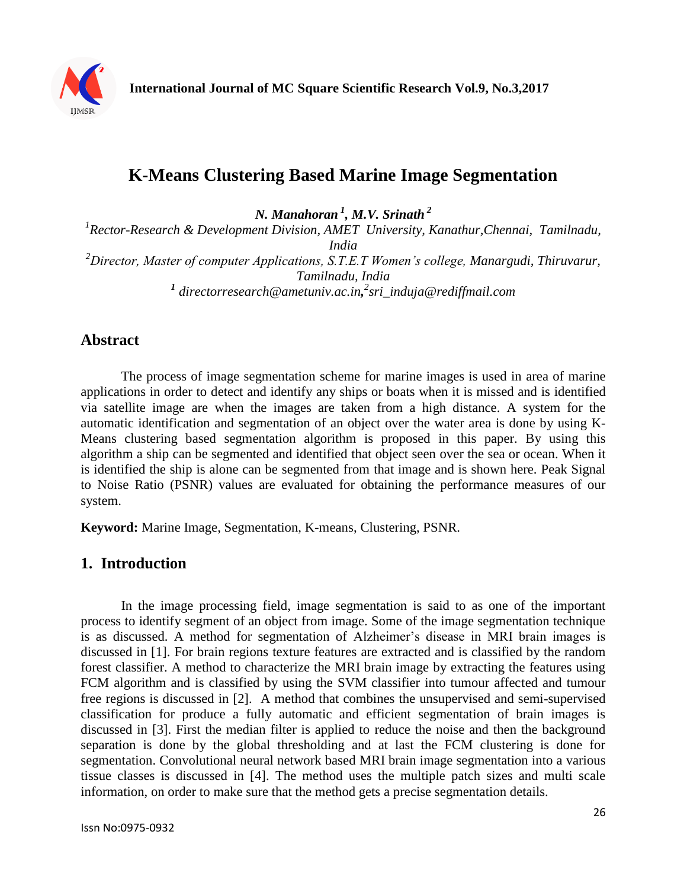

# **K-Means Clustering Based Marine Image Segmentation**

*N. Manahoran <sup>1</sup> , M.V. Srinath <sup>2</sup>*

<sup>1</sup> Rector-Research & Development Division, AMET University, Kanathur, Chennai, Tamilnadu, *India <sup>2</sup>Director, Master of computer Applications, S.T.E.T Women's college, Manargudi, Thiruvarur, Tamilnadu, India 1 directorresearch@ametuniv.ac.in, 2 sri\_induja@rediffmail.com*

# **Abstract**

The process of image segmentation scheme for marine images is used in area of marine applications in order to detect and identify any ships or boats when it is missed and is identified via satellite image are when the images are taken from a high distance. A system for the automatic identification and segmentation of an object over the water area is done by using K-Means clustering based segmentation algorithm is proposed in this paper. By using this algorithm a ship can be segmented and identified that object seen over the sea or ocean. When it is identified the ship is alone can be segmented from that image and is shown here. Peak Signal to Noise Ratio (PSNR) values are evaluated for obtaining the performance measures of our system.

**Keyword:** Marine Image, Segmentation, K-means, Clustering, PSNR.

# **1. Introduction**

In the image processing field, image segmentation is said to as one of the important process to identify segment of an object from image. Some of the image segmentation technique is as discussed. A method for segmentation of Alzheimer's disease in MRI brain images is discussed in [1]. For brain regions texture features are extracted and is classified by the random forest classifier. A method to characterize the MRI brain image by extracting the features using FCM algorithm and is classified by using the SVM classifier into tumour affected and tumour free regions is discussed in [2]. A method that combines the unsupervised and semi-supervised classification for produce a fully automatic and efficient segmentation of brain images is discussed in [3]. First the median filter is applied to reduce the noise and then the background separation is done by the global thresholding and at last the FCM clustering is done for segmentation. Convolutional neural network based MRI brain image segmentation into a various tissue classes is discussed in [4]. The method uses the multiple patch sizes and multi scale information, on order to make sure that the method gets a precise segmentation details.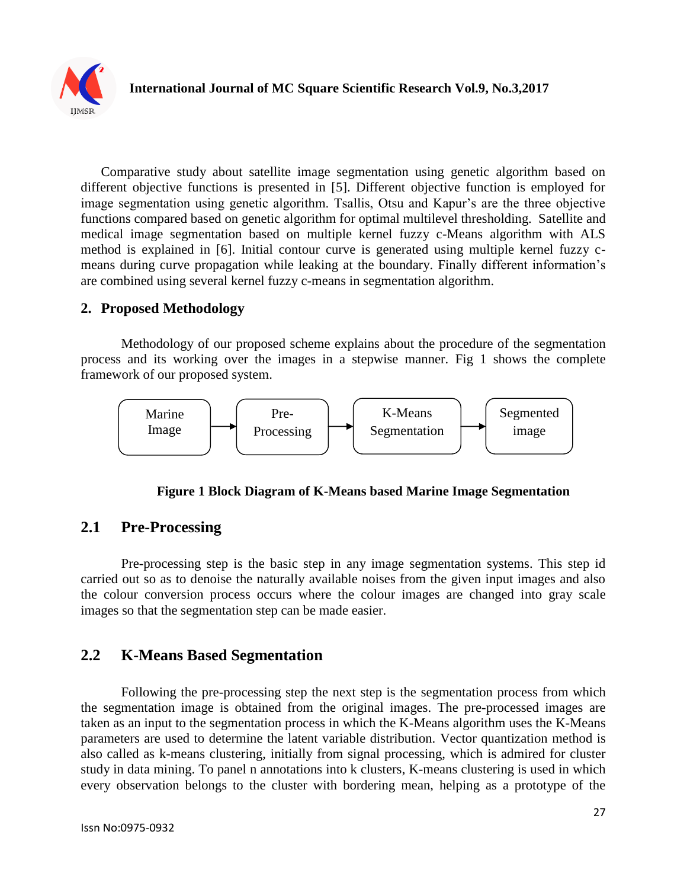

Comparative study about satellite image segmentation using genetic algorithm based on different objective functions is presented in [5]. Different objective function is employed for image segmentation using genetic algorithm. Tsallis, Otsu and Kapur's are the three objective functions compared based on genetic algorithm for optimal multilevel thresholding. Satellite and medical image segmentation based on multiple kernel fuzzy c-Means algorithm with ALS method is explained in [6]. Initial contour curve is generated using multiple kernel fuzzy cmeans during curve propagation while leaking at the boundary. Finally different information's are combined using several kernel fuzzy c-means in segmentation algorithm.

### **2. Proposed Methodology**

Methodology of our proposed scheme explains about the procedure of the segmentation process and its working over the images in a stepwise manner. Fig 1 shows the complete framework of our proposed system.



#### **Figure 1 Block Diagram of K-Means based Marine Image Segmentation**

### **2.1 Pre-Processing**

Pre-processing step is the basic step in any image segmentation systems. This step id carried out so as to denoise the naturally available noises from the given input images and also the colour conversion process occurs where the colour images are changed into gray scale images so that the segmentation step can be made easier.

# **2.2 K-Means Based Segmentation**

Following the pre-processing step the next step is the segmentation process from which the segmentation image is obtained from the original images. The pre-processed images are taken as an input to the segmentation process in which the K-Means algorithm uses the K-Means parameters are used to determine the latent variable distribution. Vector quantization method is also called as k-means clustering, initially from signal processing, which is admired for cluster study in data mining. To panel n annotations into k clusters, K-means clustering is used in which every observation belongs to the cluster with bordering mean, helping as a prototype of the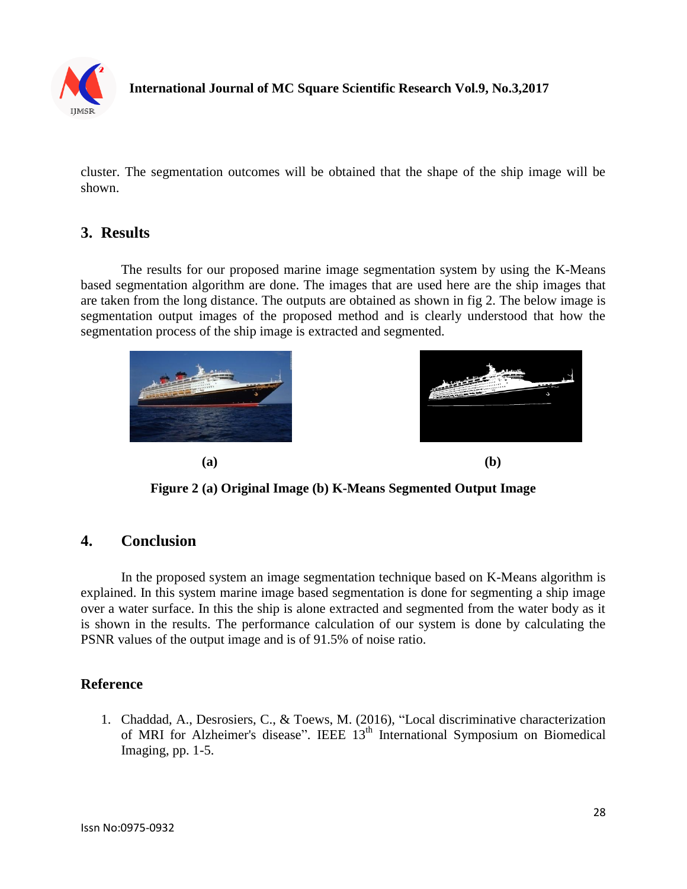

### **International Journal of MC Square Scientific Research Vol.9, No.3,2017**

cluster. The segmentation outcomes will be obtained that the shape of the ship image will be shown.

### **3. Results**

The results for our proposed marine image segmentation system by using the K-Means based segmentation algorithm are done. The images that are used here are the ship images that are taken from the long distance. The outputs are obtained as shown in fig 2. The below image is segmentation output images of the proposed method and is clearly understood that how the segmentation process of the ship image is extracted and segmented.





**Figure 2 (a) Original Image (b) K-Means Segmented Output Image**

#### **4. Conclusion**

In the proposed system an image segmentation technique based on K-Means algorithm is explained. In this system marine image based segmentation is done for segmenting a ship image over a water surface. In this the ship is alone extracted and segmented from the water body as it is shown in the results. The performance calculation of our system is done by calculating the PSNR values of the output image and is of 91.5% of noise ratio.

#### **Reference**

1. Chaddad, A., Desrosiers, C., & Toews, M. (2016), "Local discriminative characterization of MRI for Alzheimer's disease". IEEE 13<sup>th</sup> International Symposium on Biomedical Imaging, pp. 1-5.